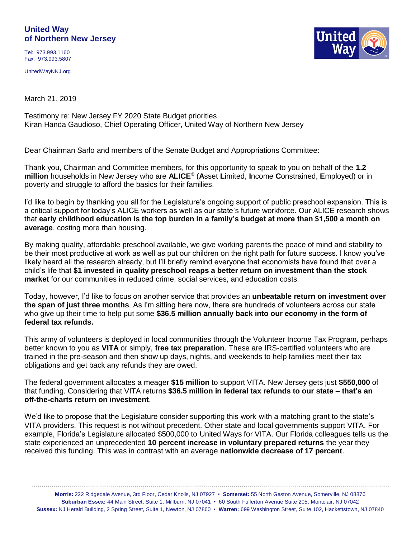## **United Way of Northern New Jersey**

Tel: 973.993.1160 Fax: 973.993.5807

UnitedWayNNJ.org

March 21, 2019

Testimony re: New Jersey FY 2020 State Budget priorities Kiran Handa Gaudioso, Chief Operating Officer, United Way of Northern New Jersey

Dear Chairman Sarlo and members of the Senate Budget and Appropriations Committee:

Thank you, Chairman and Committee members, for this opportunity to speak to you on behalf of the **1.2 million** households in New Jersey who are **ALICE**® (**A**sset **L**imited, **I**ncome **C**onstrained, **E**mployed) or in poverty and struggle to afford the basics for their families.

I'd like to begin by thanking you all for the Legislature's ongoing support of public preschool expansion. This is a critical support for today's ALICE workers as well as our state's future workforce. Our ALICE research shows that **early childhood education is the top burden in a family's budget at more than \$1,500 a month on average**, costing more than housing.

By making quality, affordable preschool available, we give working parents the peace of mind and stability to be their most productive at work as well as put our children on the right path for future success. I know you've likely heard all the research already, but I'll briefly remind everyone that economists have found that over a child's life that **\$1 invested in quality preschool reaps a better return on investment than the stock market** for our communities in reduced crime, social services, and education costs.

Today, however, I'd like to focus on another service that provides an **unbeatable return on investment over the span of just three months**. As I'm sitting here now, there are hundreds of volunteers across our state who give up their time to help put some **\$36.5 million annually back into our economy in the form of federal tax refunds.**

This army of volunteers is deployed in local communities through the Volunteer Income Tax Program, perhaps better known to you as **VITA** or simply, **free tax preparation**. These are IRS-certified volunteers who are trained in the pre-season and then show up days, nights, and weekends to help families meet their tax obligations and get back any refunds they are owed.

The federal government allocates a meager **\$15 million** to support VITA. New Jersey gets just **\$550,000** of that funding. Considering that VITA returns **\$36.5 million in federal tax refunds to our state – that's an off-the-charts return on investment**.

We'd like to propose that the Legislature consider supporting this work with a matching grant to the state's VITA providers. This request is not without precedent. Other state and local governments support VITA. For example, Florida's Legislature allocated \$500,000 to United Ways for VITA. Our Florida colleagues tells us the state experienced an unprecedented **10 percent increase in voluntary prepared returns** the year they received this funding. This was in contrast with an average **nationwide decrease of 17 percent**.

**Morris:** 222 Ridgedale Avenue, 3rd Floor, Cedar Knolls, NJ 07927 • **Somerset:** 55 North Gaston Avenue, Somerville, NJ 08876 **Suburban Essex:** 44 Main Street, Suite 1, Millburn, NJ 07041 • 60 South Fullerton Avenue Suite 205, Montclair, NJ 07042 **Sussex:** NJ Herald Building, 2 Spring Street, Suite 1, Newton, NJ 07860 • **Warren:** 699 Washington Street, Suite 102, Hackettstown, NJ 07840